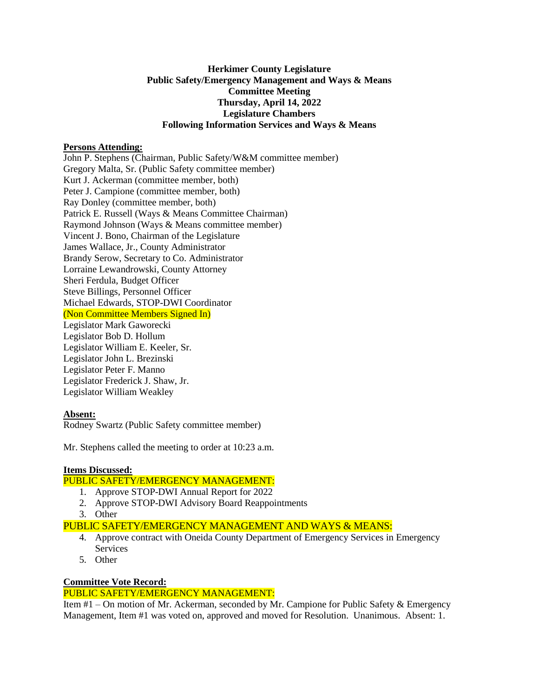# **Herkimer County Legislature Public Safety/Emergency Management and Ways & Means Committee Meeting Thursday, April 14, 2022 Legislature Chambers Following Information Services and Ways & Means**

## **Persons Attending:**

John P. Stephens (Chairman, Public Safety/W&M committee member) Gregory Malta, Sr. (Public Safety committee member) Kurt J. Ackerman (committee member, both) Peter J. Campione (committee member, both) Ray Donley (committee member, both) Patrick E. Russell (Ways & Means Committee Chairman) Raymond Johnson (Ways & Means committee member) Vincent J. Bono, Chairman of the Legislature James Wallace, Jr., County Administrator Brandy Serow, Secretary to Co. Administrator Lorraine Lewandrowski, County Attorney Sheri Ferdula, Budget Officer Steve Billings, Personnel Officer Michael Edwards, STOP-DWI Coordinator (Non Committee Members Signed In) Legislator Mark Gaworecki Legislator Bob D. Hollum Legislator William E. Keeler, Sr. Legislator John L. Brezinski

Legislator Peter F. Manno Legislator Frederick J. Shaw, Jr. Legislator William Weakley

## **Absent:**

Rodney Swartz (Public Safety committee member)

Mr. Stephens called the meeting to order at 10:23 a.m.

## **Items Discussed:**

## PUBLIC SAFETY/EMERGENCY MANAGEMENT:

- 1. Approve STOP-DWI Annual Report for 2022
- 2. Approve STOP-DWI Advisory Board Reappointments
- 3. Other

PUBLIC SAFETY/EMERGENCY MANAGEMENT AND WAYS & MEANS:

- 4. Approve contract with Oneida County Department of Emergency Services in Emergency Services
- 5. Other

## **Committee Vote Record:**

## PUBLIC SAFETY/EMERGENCY MANAGEMENT:

Item #1 – On motion of Mr. Ackerman, seconded by Mr. Campione for Public Safety & Emergency Management, Item #1 was voted on, approved and moved for Resolution. Unanimous. Absent: 1.